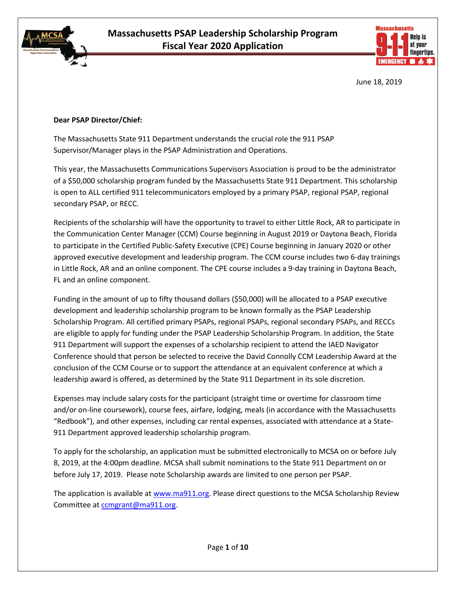



June 18, 2019

#### **Dear PSAP Director/Chief:**

The Massachusetts State 911 Department understands the crucial role the 911 PSAP Supervisor/Manager plays in the PSAP Administration and Operations.

This year, the Massachusetts Communications Supervisors Association is proud to be the administrator of a \$50,000 scholarship program funded by the Massachusetts State 911 Department. This scholarship is open to ALL certified 911 telecommunicators employed by a primary PSAP, regional PSAP, regional secondary PSAP, or RECC.

Recipients of the scholarship will have the opportunity to travel to either Little Rock, AR to participate in the Communication Center Manager (CCM) Course beginning in August 2019 or Daytona Beach, Florida to participate in the Certified Public-Safety Executive (CPE) Course beginning in January 2020 or other approved executive development and leadership program. The CCM course includes two 6-day trainings in Little Rock, AR and an online component. The CPE course includes a 9-day training in Daytona Beach, FL and an online component.

Funding in the amount of up to fifty thousand dollars (\$50,000) will be allocated to a PSAP executive development and leadership scholarship program to be known formally as the PSAP Leadership Scholarship Program. All certified primary PSAPs, regional PSAPs, regional secondary PSAPs, and RECCs are eligible to apply for funding under the PSAP Leadership Scholarship Program. In addition, the State 911 Department will support the expenses of a scholarship recipient to attend the IAED Navigator Conference should that person be selected to receive the David Connolly CCM Leadership Award at the conclusion of the CCM Course or to support the attendance at an equivalent conference at which a leadership award is offered, as determined by the State 911 Department in its sole discretion.

Expenses may include salary costs for the participant (straight time or overtime for classroom time and/or on-line coursework), course fees, airfare, lodging, meals (in accordance with the Massachusetts "Redbook"), and other expenses, including car rental expenses, associated with attendance at a State-911 Department approved leadership scholarship program.

To apply for the scholarship, an application must be submitted electronically to MCSA on or before July 8, 2019, at the 4:00pm deadline. MCSA shall submit nominations to the State 911 Department on or before July 17, 2019. Please note Scholarship awards are limited to one person per PSAP.

The application is available at [www.ma911.org.](http://www.ma911.org/) Please direct questions to the MCSA Scholarship Review Committee at [ccmgrant@ma911.org.](mailto:ccmgrant@ma911.org)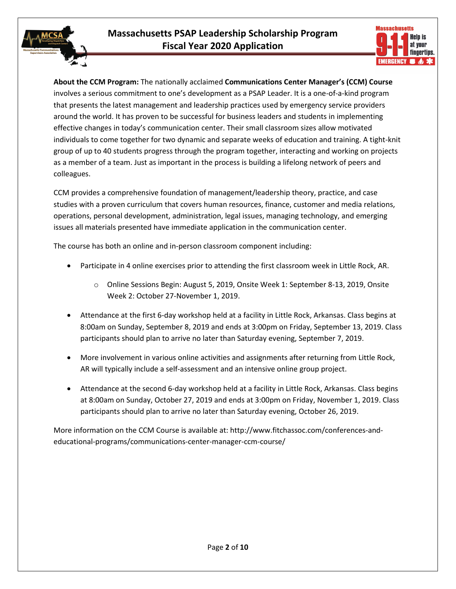

**About the CCM Program:** The nationally acclaimed **Communications Center Manager's (CCM) Course**  involves a serious commitment to one's development as a PSAP Leader. It is a one-of-a-kind program that presents the latest management and leadership practices used by emergency service providers around the world. It has proven to be successful for business leaders and students in implementing effective changes in today's communication center. Their small classroom sizes allow motivated individuals to come together for two dynamic and separate weeks of education and training. A tight-knit group of up to 40 students progress through the program together, interacting and working on projects as a member of a team. Just as important in the process is building a lifelong network of peers and colleagues.

CCM provides a comprehensive foundation of management/leadership theory, practice, and case studies with a proven curriculum that covers human resources, finance, customer and media relations, operations, personal development, administration, legal issues, managing technology, and emerging issues all materials presented have immediate application in the communication center.

The course has both an online and in-person classroom component including:

- Participate in 4 online exercises prior to attending the first classroom week in Little Rock, AR.
	- o Online Sessions Begin: August 5, 2019, Onsite Week 1: September 8-13, 2019, Onsite Week 2: October 27-November 1, 2019.
- Attendance at the first 6-day workshop held at a facility in Little Rock, Arkansas. Class begins at 8:00am on Sunday, September 8, 2019 and ends at 3:00pm on Friday, September 13, 2019. Class participants should plan to arrive no later than Saturday evening, September 7, 2019.
- More involvement in various online activities and assignments after returning from Little Rock, AR will typically include a self-assessment and an intensive online group project.
- Attendance at the second 6-day workshop held at a facility in Little Rock, Arkansas. Class begins at 8:00am on Sunday, October 27, 2019 and ends at 3:00pm on Friday, November 1, 2019. Class participants should plan to arrive no later than Saturday evening, October 26, 2019.

More information on the CCM Course is available at: http://www.fitchassoc.com/conferences-andeducational-programs/communications-center-manager-ccm-course/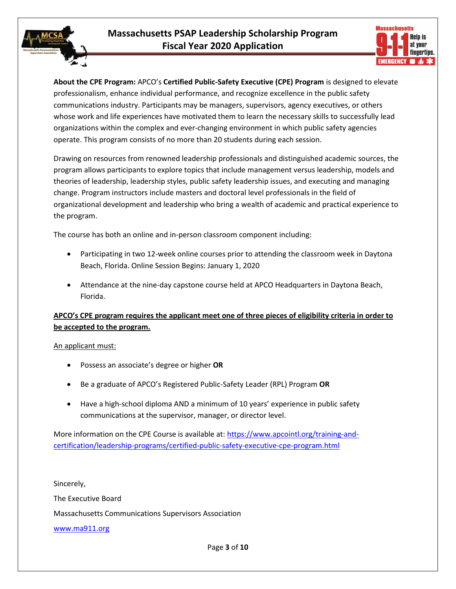

**About the CPE Program:** APCO's **Certified Public-Safety Executive (CPE) Program** is designed to elevate professionalism, enhance individual performance, and recognize excellence in the public safety communications industry. Participants may be managers, supervisors, agency executives, or others whose work and life experiences have motivated them to learn the necessary skills to successfully lead organizations within the complex and ever-changing environment in which public safety agencies operate. This program consists of no more than 20 students during each session.

Drawing on resources from renowned leadership professionals and distinguished academic sources, the program allows participants to explore topics that include management versus leadership, models and theories of leadership, leadership styles, public safety leadership issues, and executing and managing change. Program instructors include masters and doctoral level professionals in the field of organizational development and leadership who bring a wealth of academic and practical experience to the program.

The course has both an online and in-person classroom component including:

- Participating in two 12-week online courses prior to attending the classroom week in Daytona Beach, Florida. Online Session Begins: January 1, 2020
- Attendance at the nine-day capstone course held at APCO Headquarters in Daytona Beach, Florida.

### **APCO's CPE program requires the applicant meet one of three pieces of eligibility criteria in order to be accepted to the program.**

An applicant must:

- Possess an associate's degree or higher **OR**
- Be a graduate of APCO's Registered Public-Safety Leader (RPL) Program **OR**
- Have a high-school diploma AND a minimum of 10 years' experience in public safety communications at the supervisor, manager, or director level.

More information on the CPE Course is available at: [https://www.apcointl.org/training-and](https://www.apcointl.org/training-and-certification/leadership-programs/certified-public-safety-executive-cpe-program.html)[certification/leadership-programs/certified-public-safety-executive-cpe-program.html](https://www.apcointl.org/training-and-certification/leadership-programs/certified-public-safety-executive-cpe-program.html)

Sincerely, The Executive Board Massachusetts Communications Supervisors Association [www.ma911.org](http://www.ma911.org/)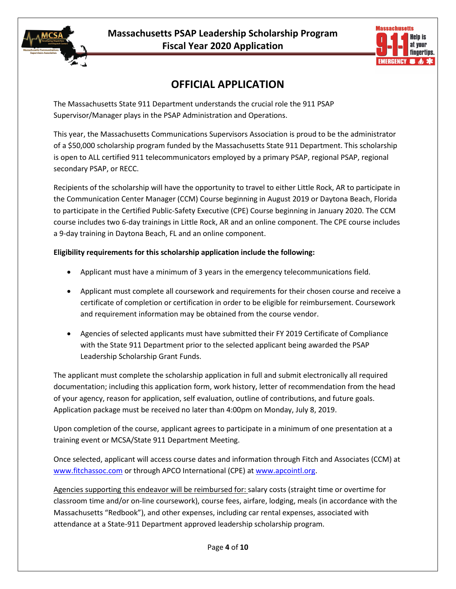



### **OFFICIAL APPLICATION**

The Massachusetts State 911 Department understands the crucial role the 911 PSAP Supervisor/Manager plays in the PSAP Administration and Operations.

This year, the Massachusetts Communications Supervisors Association is proud to be the administrator of a \$50,000 scholarship program funded by the Massachusetts State 911 Department. This scholarship is open to ALL certified 911 telecommunicators employed by a primary PSAP, regional PSAP, regional secondary PSAP, or RECC.

Recipients of the scholarship will have the opportunity to travel to either Little Rock, AR to participate in the Communication Center Manager (CCM) Course beginning in August 2019 or Daytona Beach, Florida to participate in the Certified Public-Safety Executive (CPE) Course beginning in January 2020. The CCM course includes two 6-day trainings in Little Rock, AR and an online component. The CPE course includes a 9-day training in Daytona Beach, FL and an online component.

#### **Eligibility requirements for this scholarship application include the following:**

- Applicant must have a minimum of 3 years in the emergency telecommunications field.
- Applicant must complete all coursework and requirements for their chosen course and receive a certificate of completion or certification in order to be eligible for reimbursement. Coursework and requirement information may be obtained from the course vendor.
- Agencies of selected applicants must have submitted their FY 2019 Certificate of Compliance with the State 911 Department prior to the selected applicant being awarded the PSAP Leadership Scholarship Grant Funds.

The applicant must complete the scholarship application in full and submit electronically all required documentation; including this application form, work history, letter of recommendation from the head of your agency, reason for application, self evaluation, outline of contributions, and future goals. Application package must be received no later than 4:00pm on Monday, July 8, 2019.

Upon completion of the course, applicant agrees to participate in a minimum of one presentation at a training event or MCSA/State 911 Department Meeting.

Once selected, applicant will access course dates and information through Fitch and Associates (CCM) at [www.fitchassoc.com](http://www.fitchassoc.com/) or through APCO International (CPE) at [www.apcointl.org.](http://www.apcointl.org/)

Agencies supporting this endeavor will be reimbursed for: salary costs (straight time or overtime for classroom time and/or on-line coursework), course fees, airfare, lodging, meals (in accordance with the Massachusetts "Redbook"), and other expenses, including car rental expenses, associated with attendance at a State-911 Department approved leadership scholarship program.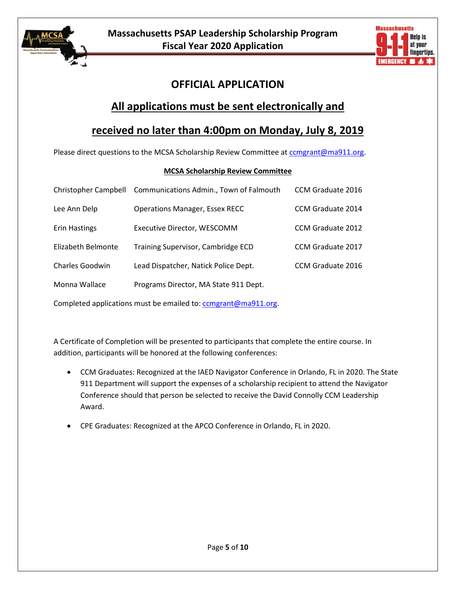



### **OFFICIAL APPLICATION**

### **All applications must be sent electronically and**

### **received no later than 4:00pm on Monday, July 8, 2019**

Please direct questions to the MCSA Scholarship Review Committee at comgrant@ma911.org.

#### **MCSA Scholarship Review Committee**

| <b>Operations Manager, Essex RECC</b><br>CCM Graduate 2014<br>Lee Ann Delp          |  |
|-------------------------------------------------------------------------------------|--|
| <b>CCM Graduate 2012</b><br><b>Erin Hastings</b><br>Executive Director, WESCOMM     |  |
| Training Supervisor, Cambridge ECD<br>Elizabeth Belmonte<br>CCM Graduate 2017       |  |
| <b>Charles Goodwin</b><br>Lead Dispatcher, Natick Police Dept.<br>CCM Graduate 2016 |  |
| Monna Wallace<br>Programs Director, MA State 911 Dept.                              |  |

Completed applications must be emailed to: comgrant@ma911.org.

A Certificate of Completion will be presented to participants that complete the entire course. In addition, participants will be honored at the following conferences:

- CCM Graduates: Recognized at the IAED Navigator Conference in Orlando, FL in 2020. The State 911 Department will support the expenses of a scholarship recipient to attend the Navigator Conference should that person be selected to receive the David Connolly CCM Leadership Award.
- CPE Graduates: Recognized at the APCO Conference in Orlando, FL in 2020.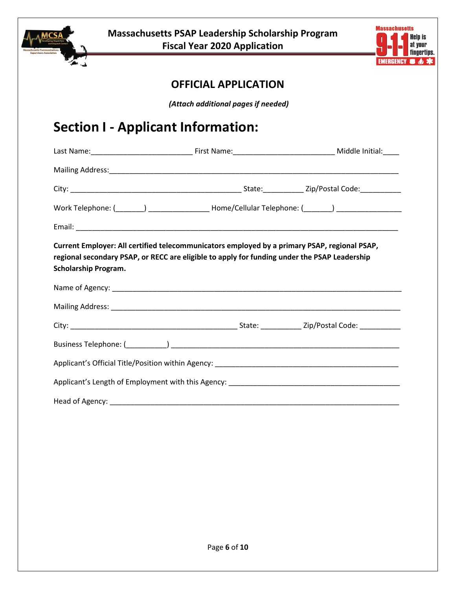



### **OFFICIAL APPLICATION**

*(Attach additional pages if needed)*

# **Section I - Applicant Information:**

| Work Telephone: (_______) ____________________Home/Cellular Telephone: (_______) __________________                                                                                                                         |  |  |  |  |
|-----------------------------------------------------------------------------------------------------------------------------------------------------------------------------------------------------------------------------|--|--|--|--|
|                                                                                                                                                                                                                             |  |  |  |  |
| Current Employer: All certified telecommunicators employed by a primary PSAP, regional PSAP,<br>regional secondary PSAP, or RECC are eligible to apply for funding under the PSAP Leadership<br><b>Scholarship Program.</b> |  |  |  |  |
|                                                                                                                                                                                                                             |  |  |  |  |
|                                                                                                                                                                                                                             |  |  |  |  |
|                                                                                                                                                                                                                             |  |  |  |  |
|                                                                                                                                                                                                                             |  |  |  |  |
|                                                                                                                                                                                                                             |  |  |  |  |
|                                                                                                                                                                                                                             |  |  |  |  |
|                                                                                                                                                                                                                             |  |  |  |  |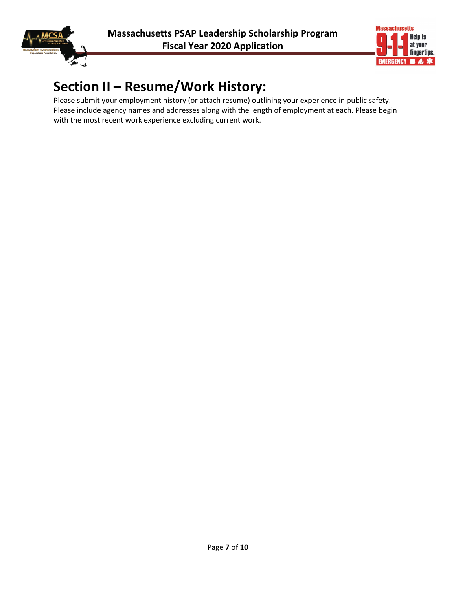



# **Section II – Resume/Work History:**

Please submit your employment history (or attach resume) outlining your experience in public safety. Please include agency names and addresses along with the length of employment at each. Please begin with the most recent work experience excluding current work.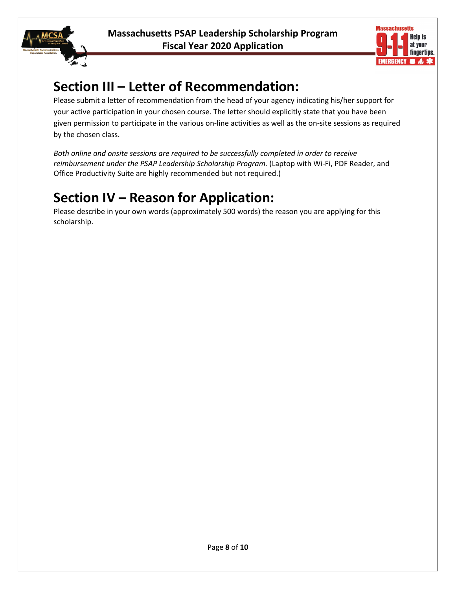



# **Section III – Letter of Recommendation:**

Please submit a letter of recommendation from the head of your agency indicating his/her support for your active participation in your chosen course. The letter should explicitly state that you have been given permission to participate in the various on-line activities as well as the on-site sessions as required by the chosen class.

*Both online and onsite sessions are required to be successfully completed in order to receive reimbursement under the PSAP Leadership Scholarship Program.* (Laptop with Wi-Fi, PDF Reader, and Office Productivity Suite are highly recommended but not required.)

# **Section IV – Reason for Application:**

Please describe in your own words (approximately 500 words) the reason you are applying for this scholarship.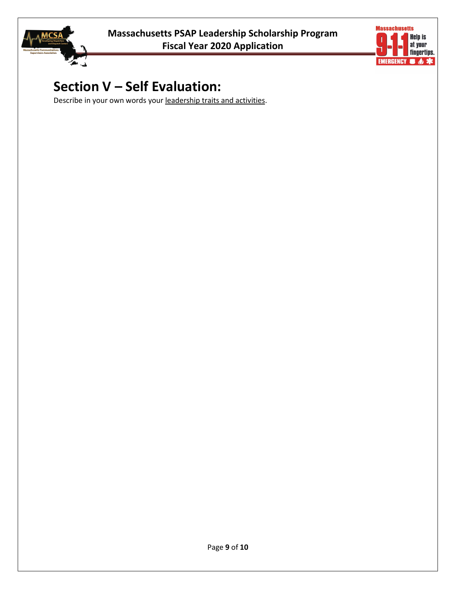



# **Section V – Self Evaluation:**

Describe in your own words your leadership traits and activities.